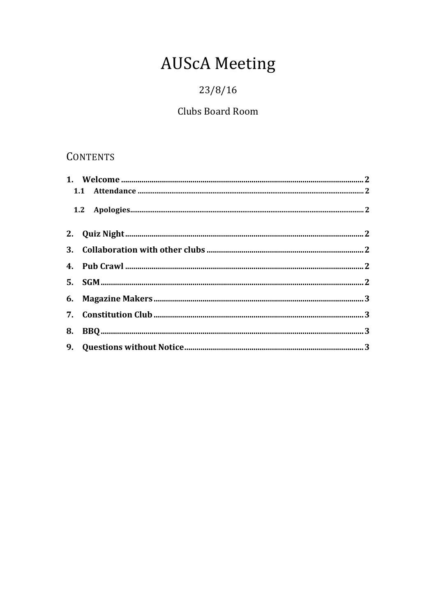# **AUScA Meeting**

# $23/8/16$

# Clubs Board Room

# **CONTENTS**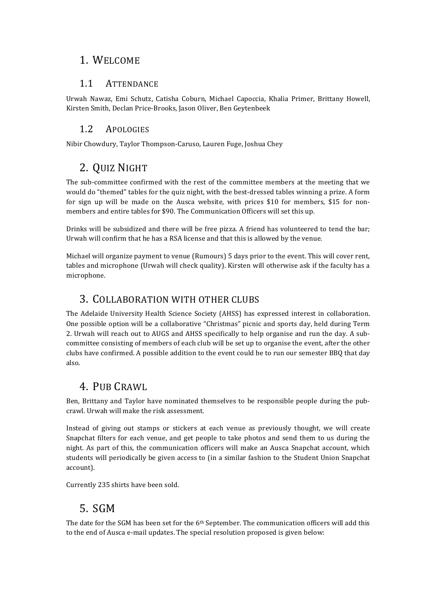#### 1. WELCOME

#### 1.1 ATTENDANCE

Urwah Nawaz, Emi Schutz, Catisha Coburn, Michael Capoccia, Khalia Primer, Brittany Howell, Kirsten Smith, Declan Price-Brooks, Jason Oliver, Ben Geytenbeek

#### 1.2 APOLOGIES

Nibir Chowdury, Taylor Thompson-Caruso, Lauren Fuge, Joshua Chey

# 2. QUIZ NIGHT

The sub-committee confirmed with the rest of the committee members at the meeting that we would do "themed" tables for the quiz night, with the best-dressed tables winning a prize. A form for sign up will be made on the Ausca website, with prices  $$10$  for members,  $$15$  for nonmembers and entire tables for \$90. The Communication Officers will set this up.

Drinks will be subsidized and there will be free pizza. A friend has volunteered to tend the bar; Urwah will confirm that he has a RSA license and that this is allowed by the venue.

Michael will organize payment to venue (Rumours) 5 days prior to the event. This will cover rent, tables and microphone (Urwah will check quality). Kirsten will otherwise ask if the faculty has a microphone. 

#### 3. COLLABORATION WITH OTHER CLUBS

The Adelaide University Health Science Society (AHSS) has expressed interest in collaboration. One possible option will be a collaborative "Christmas" picnic and sports day, held during Term 2. Urwah will reach out to AUGS and AHSS specifically to help organise and run the day. A subcommittee consisting of members of each club will be set up to organise the event, after the other clubs have confirmed. A possible addition to the event could be to run our semester BBO that day also. 

### 4. PUB CRAWL

Ben, Brittany and Taylor have nominated themselves to be responsible people during the pubcrawl. Urwah will make the risk assessment.

Instead of giving out stamps or stickers at each venue as previously thought, we will create Snapchat filters for each venue, and get people to take photos and send them to us during the night. As part of this, the communication officers will make an Ausca Snapchat account, which students will periodically be given access to (in a similar fashion to the Student Union Snapchat account). 

Currently 235 shirts have been sold.

# 5. SGM

The date for the SGM has been set for the  $6<sup>th</sup>$  September. The communication officers will add this to the end of Ausca e-mail updates. The special resolution proposed is given below: